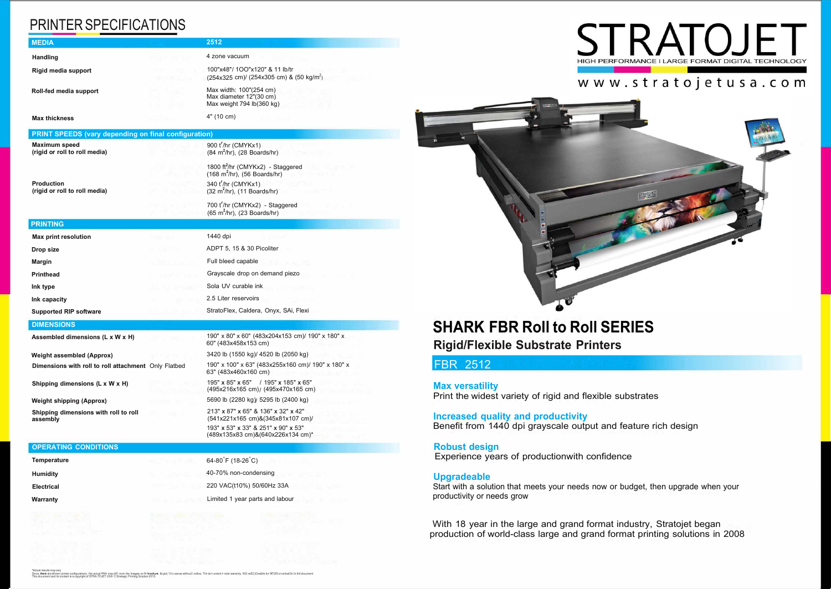# PRINTER SPECIFICATIONS

#### **OPERATING CONDITIONS**

**Temperature** 

**Humidity** 

**Electrical** 

**Warranty** 



## www.stratojetusa.com



yscale output and feature rich design

- 
- 

| <b>MEDIA</b>                                                | 2512                                                                                                                                                 |                                                               |
|-------------------------------------------------------------|------------------------------------------------------------------------------------------------------------------------------------------------------|---------------------------------------------------------------|
| <b>Handling</b>                                             | 4 zone vacuum                                                                                                                                        |                                                               |
| <b>Rigid media support</b>                                  | 100"x48"/ 100"x120" & 11 lb/tr<br>$(254x325 \text{ cm})$ / $(254x305 \text{ cm})$ & $(50 \text{ kg/m}^2)$                                            |                                                               |
| Roll-fed media support                                      | Max width: 100"(254 cm)<br>Max diameter 12"(30 cm)<br>Max weight 794 lb(360 kg)                                                                      |                                                               |
| <b>Max thickness</b>                                        | 4" (10 cm)                                                                                                                                           |                                                               |
| <b>PRINT SPEEDS (vary depending on final configuration)</b> |                                                                                                                                                      |                                                               |
| <b>Maximum speed</b><br>(rigid or roll to roll media)       | 900 t <sup>r</sup> /hr (CMYKx1)<br>$(84 \text{ m}^2/\text{hr})$ , $(28 \text{ Boards/hr})$                                                           |                                                               |
|                                                             | 1800 ft <sup>2</sup> /hr (CMYKx2) - Staggered<br>$(168 \text{ m}^2/\text{hr})$ , $(56 \text{ Boards/hr})$                                            |                                                               |
| <b>Production</b><br>(rigid or roll to roll media)          | 340 t <sup>r</sup> /hr (CMYKx1)<br>$(32 \text{ m}^2/\text{hr})$ , $(11 \text{ Boards/hr})$                                                           |                                                               |
|                                                             | 700 t <sup>r</sup> /hr (CMYKx2) - Staggered<br>$(65 \text{ m}^2/\text{hr})$ , $(23 \text{ Boards/hr})$                                               |                                                               |
| <b>PRINTING</b>                                             |                                                                                                                                                      |                                                               |
| <b>Max print resolution</b>                                 | 1440 dpi                                                                                                                                             |                                                               |
| Drop size                                                   | ADPT 5, 15 & 30 Picoliter                                                                                                                            |                                                               |
| <b>Margin</b>                                               | Full bleed capable                                                                                                                                   |                                                               |
| <b>Printhead</b>                                            | Grayscale drop on demand piezo                                                                                                                       |                                                               |
| Ink type                                                    | Sola UV curable ink                                                                                                                                  |                                                               |
| Ink capacity                                                | 2.5 Liter reservoirs                                                                                                                                 |                                                               |
| <b>Supported RIP software</b>                               | StratoFlex, Caldera, Onyx, SAi, Flexi                                                                                                                |                                                               |
| <b>DIMENSIONS</b>                                           |                                                                                                                                                      | <b>SHARK FBR Rol</b>                                          |
| Assembled dimensions (L x W x H)                            | 190" x 80" x 60" (483x204x153 cm)/ 190" x 180" x<br>60" (483x458x153 cm)                                                                             | <b>Rigid/Flexible Subs</b>                                    |
| <b>Weight assembled (Approx)</b>                            | 3420 lb (1550 kg)/ 4520 lb (2050 kg)                                                                                                                 |                                                               |
| Dimensions with roll to roll attachment Only Flatbed        | 190" x 100" x 63" (483x255x160 cm)/ 190" x 180" x<br>63" (483x460x160 cm)                                                                            | <b>FBR 2512</b>                                               |
| Shipping dimensions (L x W x H)                             | 195" x 85" x 65" / 195" x 185" x 65"<br>(495x216x165 cm) / (495x470x165 cm)                                                                          | <b>Max versatility</b>                                        |
| <b>Weight shipping (Approx)</b>                             | 5690 lb (2280 kg)/ 5295 lb (2400 kg)                                                                                                                 | Print the widest variety of                                   |
| Shipping dimensions with roll to roll<br>assembly           | 213" x 87" x 65" & 136" x 32" x 42"<br>(541x221x165 cm)&(345x81x107 cm)/<br>193" x 53" x 33" & 251" x 90" x 53"<br>(489x135x83 cm)&(640x226x134 cm)* | <b>Increased quality and pr</b><br>Benefit from 1440 dpi gray |

64-80° F (18-26° C) 40-70% non-condensing 220 VAC(t10%) 50/60Hz 33A Limited 1 year parts and labour



## **strate Printers**

rigid and flexible substrates

**Inductivity** 

**Robust design**  Experience years of productionwith confidence

### **Upgradeable**

Start with a solution that meets your needs now or budget, then upgrade when your productivity or needs grow

With 18 year in the large and grand format industry, Stratojet began production of world-class large and grand format printing solutions in 2008